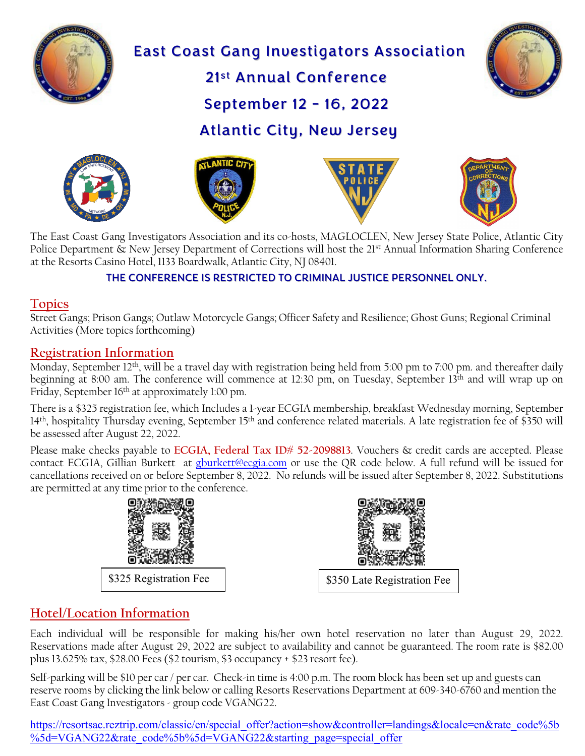

# East Coast Gang Investigators Association 21st Annual Conference



September 12 - 16, 2022

Atlantic City, New Jersey





l





The East Coast Gang Investigators Association and its co-hosts, MAGLOCLEN, New Jersey State Police, Atlantic City Police Department & New Jersey Department of Corrections will host the 21<sup>st</sup> Annual Information Sharing Conference at the Resorts Casino Hotel, 1133 Boardwalk, Atlantic City, NJ 08401.

#### THE CONFERENCE IS RESTRICTED TO CRIMINAL JUSTICE PERSONNEL ONLY.

#### **Topics**

Street Gangs; Prison Gangs; Outlaw Motorcycle Gangs; Officer Safety and Resilience; Ghost Guns; Regional Criminal Activities (More topics forthcoming)

#### **Registration Information**

Monday, September 12<sup>th</sup>, will be a travel day with registration being held from 5:00 pm to 7:00 pm. and thereafter daily beginning at 8:00 am. The conference will commence at 12:30 pm, on Tuesday, September 13th and will wrap up on Friday, September 16<sup>th</sup> at approximately 1:00 pm.

There is a \$325 registration fee, which Includes a 1-year ECGIA membership, breakfast Wednesday morning, September 14<sup>th</sup>, hospitality Thursday evening, September 15<sup>th</sup> and conference related materials. A late registration fee of \$350 will be assessed after August 22, 2022.

Please make checks payable to **ECGIA, Federal Tax ID# 52-2098813**. Vouchers & credit cards are accepted. Please contact ECGIA, Gillian Burkett at [gburkett@ecgia.com](mailto:gburkett@ecgia.com) or use the QR code below. A full refund will be issued for cancellations received on or before September 8, 2022. No refunds will be issued after September 8, 2022. Substitutions are permitted at any time prior to the conference.



### **Hotel/Location Information**

Each individual will be responsible for making his/her own hotel reservation no later than August 29, 2022. Reservations made after August 29, 2022 are subject to availability and cannot be guaranteed. The room rate is \$82.00 plus 13.625% tax, \$28.00 Fees (\$2 tourism, \$3 occupancy + \$23 resort fee).

Self-parking will be \$10 per car / per car. Check-in time is 4:00 p.m. The room block has been set up and guests can reserve rooms by clicking the link below or calling Resorts Reservations Department at 609-340-6760 and mention the East Coast Gang Investigators - group code VGANG22.

[https://resortsac.reztrip.com/classic/en/special\\_offer?action=show&controller=landings&locale=en&rate\\_code%5b](https://linkprotect.cudasvc.com/url?a=https%3a%2f%2fresortsac.reztrip.com%2fclassic%2fen%2fspecial_offer%3faction%3dshow%26controller%3dlandings%26locale%3den%26rate_code%255b%255d%3dVGANG22%26rate_code%255b%255d%3dVGANG22%26starting_page%3dspecial_offer&c=E,1,wxjwBBnQ9nIENBQ_eV3JLGs9MfYHE6IrcGFtux4bgit1qs28WJjJWZchy30xNLJFiKm6W8uJs4osAqyZ25CA84UHQPrHypTVtbRsCnwU&typo=1) [%5d=VGANG22&rate\\_code%5b%5d=VGANG22&starting\\_page=special\\_offer](https://linkprotect.cudasvc.com/url?a=https%3a%2f%2fresortsac.reztrip.com%2fclassic%2fen%2fspecial_offer%3faction%3dshow%26controller%3dlandings%26locale%3den%26rate_code%255b%255d%3dVGANG22%26rate_code%255b%255d%3dVGANG22%26starting_page%3dspecial_offer&c=E,1,wxjwBBnQ9nIENBQ_eV3JLGs9MfYHE6IrcGFtux4bgit1qs28WJjJWZchy30xNLJFiKm6W8uJs4osAqyZ25CA84UHQPrHypTVtbRsCnwU&typo=1)